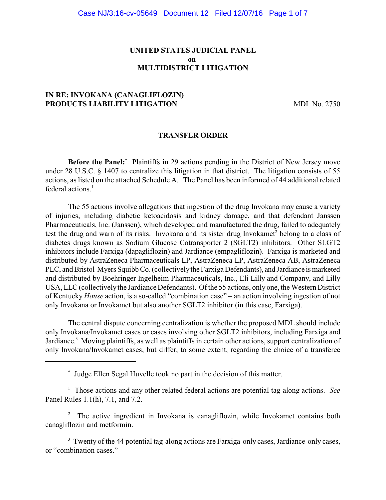## **UNITED STATES JUDICIAL PANEL on MULTIDISTRICT LITIGATION**

# **IN RE: INVOKANA (CANAGLIFLOZIN) PRODUCTS LIABILITY LITIGATION** MDL No. 2750

### **TRANSFER ORDER**

**Before the Panel:** Plaintiffs in 29 actions pending in the District of New Jersey move under 28 U.S.C. § 1407 to centralize this litigation in that district. The litigation consists of 55 actions, as listed on the attached Schedule A. The Panel has been informed of 44 additional related federal actions.<sup>1</sup>

The 55 actions involve allegations that ingestion of the drug Invokana may cause a variety of injuries, including diabetic ketoacidosis and kidney damage, and that defendant Janssen Pharmaceuticals, Inc. (Janssen), which developed and manufactured the drug, failed to adequately test the drug and warn of its risks. Invokana and its sister drug Invokamet<sup>2</sup> belong to a class of diabetes drugs known as Sodium Glucose Cotransporter 2 (SGLT2) inhibitors. Other SLGT2 inhibitors include Farxiga (dapagliflozin) and Jardiance (empagliflozin). Farxiga is marketed and distributed by AstraZeneca Pharmaceuticals LP, AstraZeneca LP, AstraZeneca AB, AstraZeneca PLC, and Bristol-Myers Squibb Co. (collectivelythe Farxiga Defendants), and Jardiance is marketed and distributed by Boehringer Ingelheim Pharmaceuticals, Inc., Eli Lilly and Company, and Lilly USA, LLC (collectively the Jardiance Defendants). Of the 55 actions, only one, the Western District of Kentucky *House* action, is a so-called "combination case" – an action involving ingestion of not only Invokana or Invokamet but also another SGLT2 inhibitor (in this case, Farxiga).

The central dispute concerning centralization is whether the proposed MDL should include only Invokana/Invokamet cases or cases involving other SGLT2 inhibitors, including Farxiga and Jardiance.<sup>3</sup> Moving plaintiffs, as well as plaintiffs in certain other actions, support centralization of only Invokana/Invokamet cases, but differ, to some extent, regarding the choice of a transferee

<sup>1</sup> Those actions and any other related federal actions are potential tag-along actions. *See* Panel Rules 1.1(h), 7.1, and 7.2.

<sup>2</sup> The active ingredient in Invokana is canagliflozin, while Invokamet contains both canagliflozin and metformin.

<sup>3</sup> Twenty of the 44 potential tag-along actions are Farxiga-only cases, Jardiance-only cases, or "combination cases."

Judge Ellen Segal Huvelle took no part in the decision of this matter. \*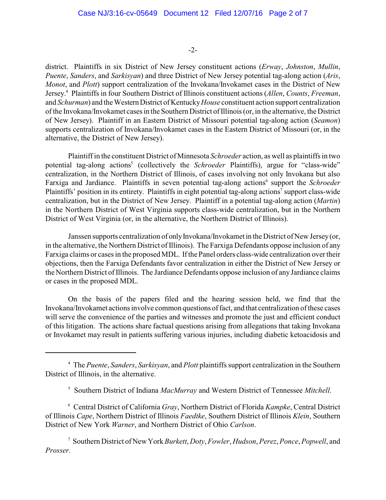-2-

district. Plaintiffs in six District of New Jersey constituent actions (*Erway*, *Johnston*, *Mullin*, *Puente*, *Sanders*, and *Sarkisyan*) and three District of New Jersey potential tag-along action (*Aris*, *Monot*, and *Plott*) support centralization of the Invokana/Invokamet cases in the District of New Jersey. Plaintiffs in four Southern District of Illinois constituent actions (*Allen*, *Counts*, *Freeman*, 4 and *Schurman*) and the Western District of Kentucky *House* constituent action support centralization of the Invokana/Invokamet cases in the Southern District of Illinois(or, in the alternative, the District of New Jersey). Plaintiff in an Eastern District of Missouri potential tag-along action (*Seamon*) supports centralization of Invokana/Invokamet cases in the Eastern District of Missouri (or, in the alternative, the District of New Jersey).

Plaintiff in the constituent District of Minnesota *Schroeder* action, as well as plaintiffs in two potential tag-along actions<sup>5</sup> (collectively the *Schroeder* Plaintiffs), argue for "class-wide" centralization, in the Northern District of Illinois, of cases involving not only Invokana but also Farxiga and Jardiance. Plaintiffs in seven potential tag-along actions<sup>6</sup> support the *Schroeder* Plaintiffs' position in its entirety. Plaintiffs in eight potential tag-along actions<sup>7</sup> support class-wide centralization, but in the District of New Jersey. Plaintiff in a potential tag-along action (*Martin*) in the Northern District of West Virginia supports class-wide centralization, but in the Northern District of West Virginia (or, in the alternative, the Northern District of Illinois).

Janssen supports centralization of only Invokana/Invokamet in the District of New Jersey (or, in the alternative, the Northern District of Illinois). The Farxiga Defendants oppose inclusion of any Farxiga claims or cases in the proposed MDL. If the Panel orders class-wide centralization over their objections, then the Farxiga Defendants favor centralization in either the District of New Jersey or the Northern District of Illinois. The Jardiance Defendants oppose inclusion of anyJardiance claims or cases in the proposed MDL.

On the basis of the papers filed and the hearing session held, we find that the Invokana/Invokamet actions involve common questions of fact, and that centralization of these cases will serve the convenience of the parties and witnesses and promote the just and efficient conduct of this litigation. The actions share factual questions arising from allegations that taking Invokana or Invokamet may result in patients suffering various injuries, including diabetic ketoacidosis and

Central District of California *Gray*, Northern District of Florida *Kampke*, Central District <sup>6</sup> of Illinois *Cape*, Northern District of Illinois *Faedtke*, Southern District of Illinois *Klein*, Southern District of New York *Warner*, and Northern District of Ohio *Carlson*.

Southern District of New York *Burkett*, *Doty*, *Fowler*, *Hudson*, *Perez*, *Ponce*, *Popwell*, and <sup>7</sup> *Prosser.*

The *Puente*, *Sanders*, *Sarkisyan*, and *Plott* plaintiffs support centralization in the Southern <sup>4</sup> District of Illinois, in the alternative.

<sup>&</sup>lt;sup>5</sup> Southern District of Indiana *MacMurray* and Western District of Tennessee Mitchell.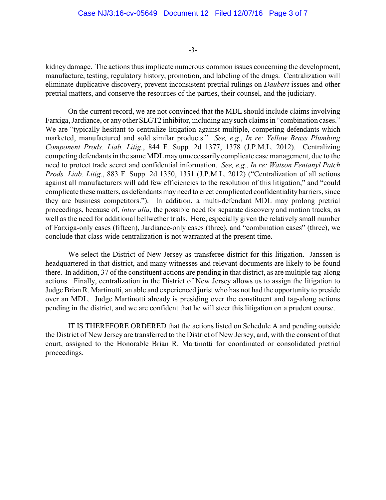-3-

kidney damage. The actions thus implicate numerous common issues concerning the development, manufacture, testing, regulatory history, promotion, and labeling of the drugs. Centralization will eliminate duplicative discovery, prevent inconsistent pretrial rulings on *Daubert* issues and other pretrial matters, and conserve the resources of the parties, their counsel, and the judiciary.

On the current record, we are not convinced that the MDL should include claims involving Farxiga, Jardiance, or any other SLGT2 inhibitor, including any such claims in "combination cases." We are "typically hesitant to centralize litigation against multiple, competing defendants which marketed, manufactured and sold similar products." *See, e.g.*, *In re: Yellow Brass Plumbing Component Prods. Liab. Litig.*, 844 F. Supp. 2d 1377, 1378 (J.P.M.L. 2012). Centralizing competing defendants in the same MDL may unnecessarily complicate case management, due to the need to protect trade secret and confidential information. *See, e.g., In re: Watson Fentanyl Patch Prods. Liab. Litig*., 883 F. Supp. 2d 1350, 1351 (J.P.M.L. 2012) ("Centralization of all actions against all manufacturers will add few efficiencies to the resolution of this litigation," and "could complicate these matters, as defendants may need to erect complicated confidentiality barriers, since they are business competitors."). In addition, a multi-defendant MDL may prolong pretrial proceedings, because of, *inter alia*, the possible need for separate discovery and motion tracks, as well as the need for additional bellwether trials. Here, especially given the relatively small number of Farxiga-only cases (fifteen), Jardiance-only cases (three), and "combination cases" (three), we conclude that class-wide centralization is not warranted at the present time.

We select the District of New Jersey as transferee district for this litigation. Janssen is headquartered in that district, and many witnesses and relevant documents are likely to be found there. In addition, 37 of the constituent actions are pending in that district, as are multiple tag-along actions. Finally, centralization in the District of New Jersey allows us to assign the litigation to Judge Brian R. Martinotti, an able and experienced jurist who has not had the opportunity to preside over an MDL. Judge Martinotti already is presiding over the constituent and tag-along actions pending in the district, and we are confident that he will steer this litigation on a prudent course.

IT IS THEREFORE ORDERED that the actions listed on Schedule A and pending outside the District of New Jersey are transferred to the District of New Jersey, and, with the consent of that court, assigned to the Honorable Brian R. Martinotti for coordinated or consolidated pretrial proceedings.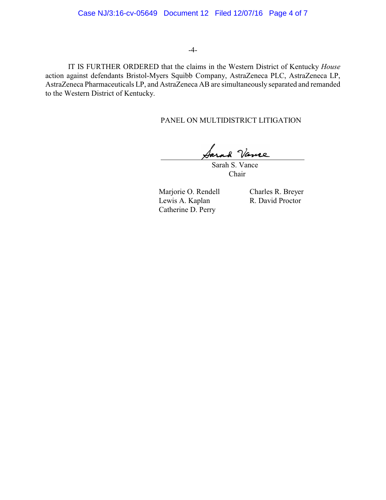### -4-

IT IS FURTHER ORDERED that the claims in the Western District of Kentucky *House* action against defendants Bristol-Myers Squibb Company, AstraZeneca PLC, AstraZeneca LP, AstraZeneca Pharmaceuticals LP, and AstraZeneca AB are simultaneously separated and remanded to the Western District of Kentucky.

## PANEL ON MULTIDISTRICT LITIGATION

Sarah S. Vance

Chair

Marjorie O. Rendell Charles R. Breyer<br>
Lewis A. Kaplan R. David Proctor Lewis A. Kaplan Catherine D. Perry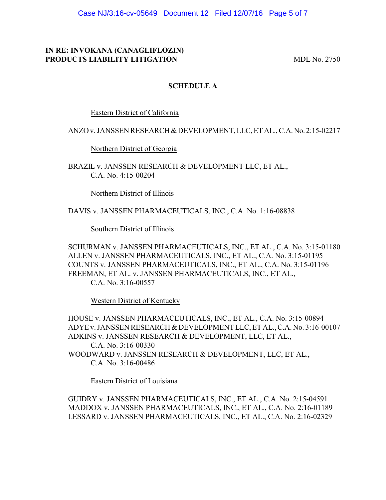Case NJ/3:16-cv-05649 Document 12 Filed 12/07/16 Page 5 of 7

# **IN RE: INVOKANA (CANAGLIFLOZIN) PRODUCTS LIABILITY LITIGATION** MDL No. 2750

## **SCHEDULE A**

Eastern District of California

## ANZO v. JANSSEN RESEARCH & DEVELOPMENT, LLC, ET AL., C.A.No. 2:15-02217

Northern District of Georgia

BRAZIL v. JANSSEN RESEARCH & DEVELOPMENT LLC, ET AL., C.A. No. 4:15-00204

Northern District of Illinois

DAVIS v. JANSSEN PHARMACEUTICALS, INC., C.A. No. 1:16-08838

Southern District of Illinois

SCHURMAN v. JANSSEN PHARMACEUTICALS, INC., ET AL., C.A. No. 3:15-01180 ALLEN v. JANSSEN PHARMACEUTICALS, INC., ET AL., C.A. No. 3:15-01195 COUNTS v. JANSSEN PHARMACEUTICALS, INC., ET AL., C.A. No. 3:15-01196 FREEMAN, ET AL. v. JANSSEN PHARMACEUTICALS, INC., ET AL., C.A. No. 3:16-00557

Western District of Kentucky

HOUSE v. JANSSEN PHARMACEUTICALS, INC., ET AL., C.A. No. 3:15-00894 ADYE v. JANSSEN RESEARCH & DEVELOPMENT LLC, ET AL., C.A. No. 3:16-00107 ADKINS v. JANSSEN RESEARCH & DEVELOPMENT, LLC, ET AL., C.A. No. 3:16-00330 WOODWARD v. JANSSEN RESEARCH & DEVELOPMENT, LLC, ET AL., C.A. No. 3:16-00486

Eastern District of Louisiana

GUIDRY v. JANSSEN PHARMACEUTICALS, INC., ET AL., C.A. No. 2:15-04591 MADDOX v. JANSSEN PHARMACEUTICALS, INC., ET AL., C.A. No. 2:16-01189 LESSARD v. JANSSEN PHARMACEUTICALS, INC., ET AL., C.A. No. 2:16-02329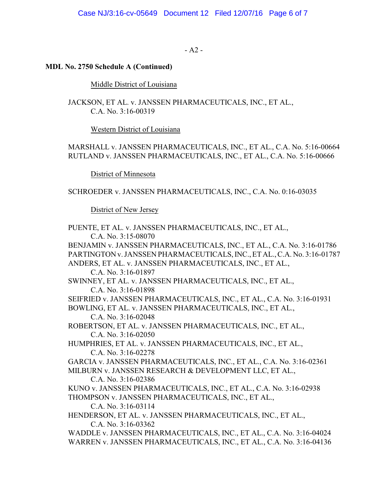$- A2 -$ 

### **MDL No. 2750 Schedule A (Continued)**

Middle District of Louisiana

JACKSON, ET AL. v. JANSSEN PHARMACEUTICALS, INC., ET AL., C.A. No. 3:16-00319

Western District of Louisiana

MARSHALL v. JANSSEN PHARMACEUTICALS, INC., ET AL., C.A. No. 5:16-00664 RUTLAND v. JANSSEN PHARMACEUTICALS, INC., ET AL., C.A. No. 5:16-00666

District of Minnesota

SCHROEDER v. JANSSEN PHARMACEUTICALS, INC., C.A. No. 0:16-03035

District of New Jersey

PUENTE, ET AL. v. JANSSEN PHARMACEUTICALS, INC., ET AL., C.A. No. 3:15-08070 BENJAMIN v. JANSSEN PHARMACEUTICALS, INC., ET AL., C.A. No. 3:16-01786 PARTINGTON v. JANSSEN PHARMACEUTICALS, INC., ET AL., C.A. No. 3:16-01787 ANDERS, ET AL. v. JANSSEN PHARMACEUTICALS, INC., ET AL., C.A. No. 3:16-01897 SWINNEY, ET AL. v. JANSSEN PHARMACEUTICALS, INC., ET AL., C.A. No. 3:16-01898 SEIFRIED v. JANSSEN PHARMACEUTICALS, INC., ET AL., C.A. No. 3:16-01931 BOWLING, ET AL. v. JANSSEN PHARMACEUTICALS, INC., ET AL., C.A. No. 3:16-02048 ROBERTSON, ET AL. v. JANSSEN PHARMACEUTICALS, INC., ET AL., C.A. No. 3:16-02050 HUMPHRIES, ET AL. v. JANSSEN PHARMACEUTICALS, INC., ET AL., C.A. No. 3:16-02278 GARCIA v. JANSSEN PHARMACEUTICALS, INC., ET AL., C.A. No. 3:16-02361 MILBURN v. JANSSEN RESEARCH & DEVELOPMENT LLC, ET AL., C.A. No. 3:16-02386 KUNO v. JANSSEN PHARMACEUTICALS, INC., ET AL., C.A. No. 3:16-02938 THOMPSON v. JANSSEN PHARMACEUTICALS, INC., ET AL., C.A. No. 3:16-03114 HENDERSON, ET AL. v. JANSSEN PHARMACEUTICALS, INC., ET AL., C.A. No. 3:16-03362 WADDLE v. JANSSEN PHARMACEUTICALS, INC., ET AL., C.A. No. 3:16-04024 WARREN v. JANSSEN PHARMACEUTICALS, INC., ET AL., C.A. No. 3:16-04136